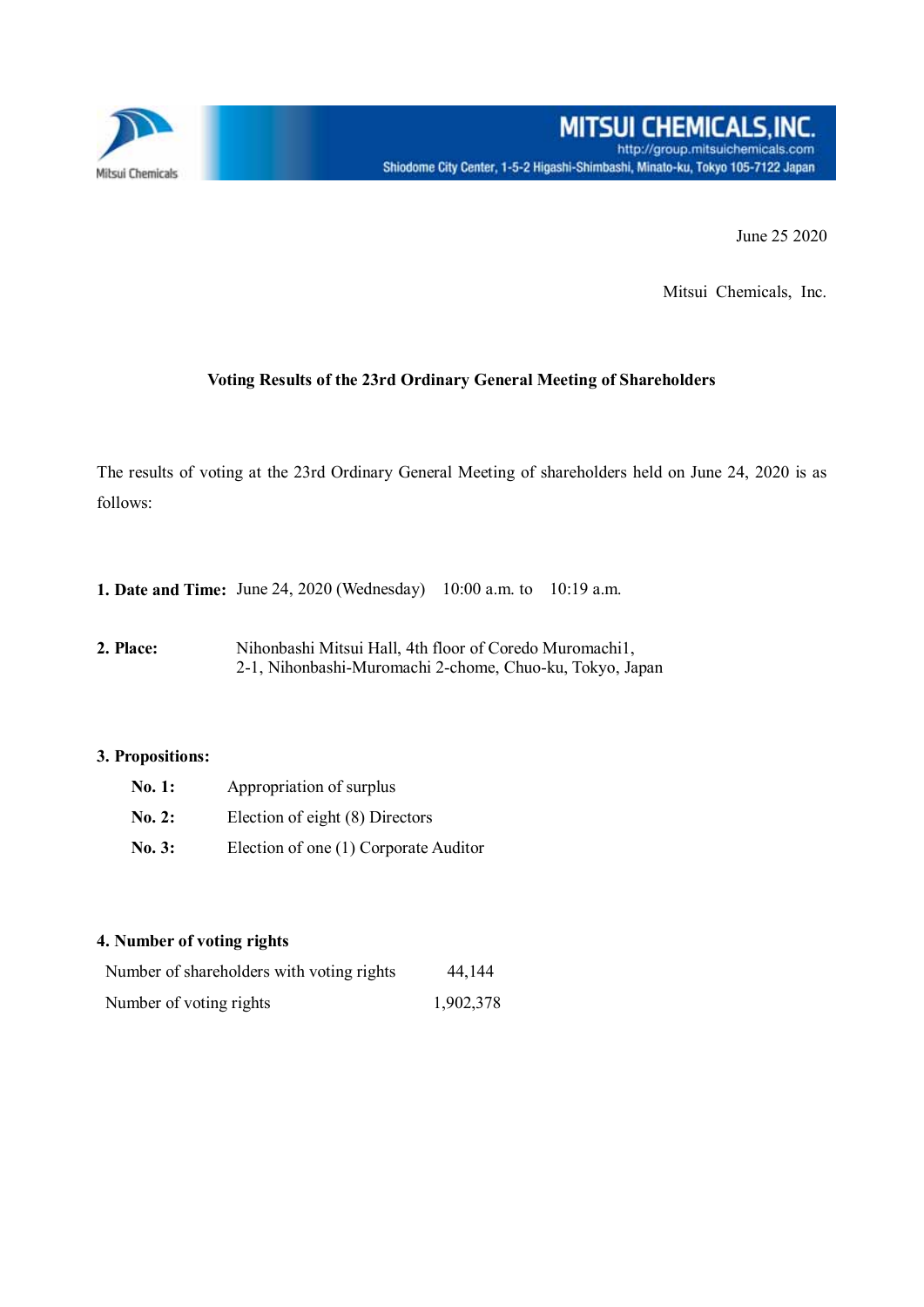

June 25 2020

Mitsui Chemicals, Inc.

## **Voting Results of the 23rd Ordinary General Meeting of Shareholders**

The results of voting at the 23rd Ordinary General Meeting of shareholders held on June 24, 2020 is as follows:

**1. Date and Time:** June 24, 2020 (Wednesday) 10:00 a.m. to 10:19 a.m.

**2. Place:** Nihonbashi Mitsui Hall, 4th floor of Coredo Muromachi1, 2-1, Nihonbashi-Muromachi 2-chome, Chuo-ku, Tokyo, Japan

## **3. Propositions:**

| No. 1: | Appropriation of surplus              |  |  |  |  |
|--------|---------------------------------------|--|--|--|--|
| No. 2: | Election of eight (8) Directors       |  |  |  |  |
| No. 3: | Election of one (1) Corporate Auditor |  |  |  |  |

## **4. Number of voting rights**

| Number of shareholders with voting rights | 44,144    |
|-------------------------------------------|-----------|
| Number of voting rights                   | 1,902,378 |